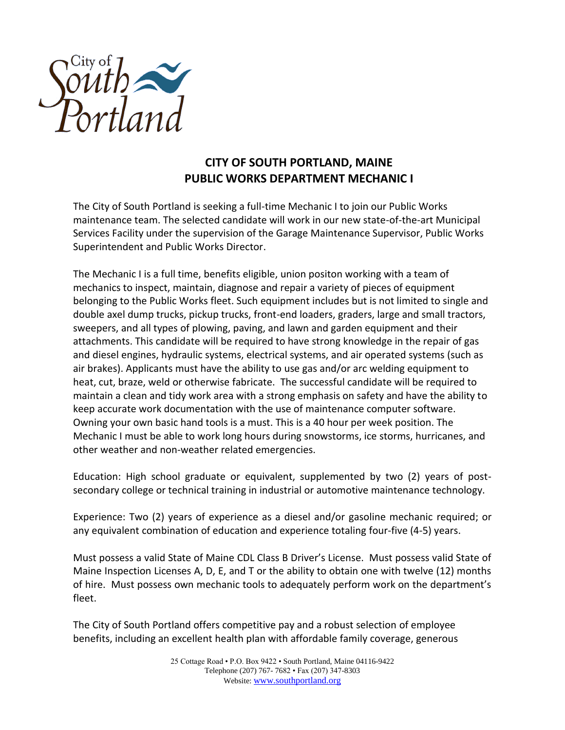

## **CITY OF SOUTH PORTLAND, MAINE PUBLIC WORKS DEPARTMENT MECHANIC I**

The City of South Portland is seeking a full-time Mechanic I to join our Public Works maintenance team. The selected candidate will work in our new state-of-the-art Municipal Services Facility under the supervision of the Garage Maintenance Supervisor, Public Works Superintendent and Public Works Director.

The Mechanic I is a full time, benefits eligible, union positon working with a team of mechanics to inspect, maintain, diagnose and repair a variety of pieces of equipment belonging to the Public Works fleet. Such equipment includes but is not limited to single and double axel dump trucks, pickup trucks, front-end loaders, graders, large and small tractors, sweepers, and all types of plowing, paving, and lawn and garden equipment and their attachments. This candidate will be required to have strong knowledge in the repair of gas and diesel engines, hydraulic systems, electrical systems, and air operated systems (such as air brakes). Applicants must have the ability to use gas and/or arc welding equipment to heat, cut, braze, weld or otherwise fabricate. The successful candidate will be required to maintain a clean and tidy work area with a strong emphasis on safety and have the ability to keep accurate work documentation with the use of maintenance computer software. Owning your own basic hand tools is a must. This is a 40 hour per week position. The Mechanic I must be able to work long hours during snowstorms, ice storms, hurricanes, and other weather and non-weather related emergencies.

Education: High school graduate or equivalent, supplemented by two (2) years of postsecondary college or technical training in industrial or automotive maintenance technology.

Experience: Two (2) years of experience as a diesel and/or gasoline mechanic required; or any equivalent combination of education and experience totaling four-five (4-5) years.

Must possess a valid State of Maine CDL Class B Driver's License. Must possess valid State of Maine Inspection Licenses A, D, E, and T or the ability to obtain one with twelve (12) months of hire. Must possess own mechanic tools to adequately perform work on the department's fleet.

The City of South Portland offers competitive pay and a robust selection of employee benefits, including an excellent health plan with affordable family coverage, generous